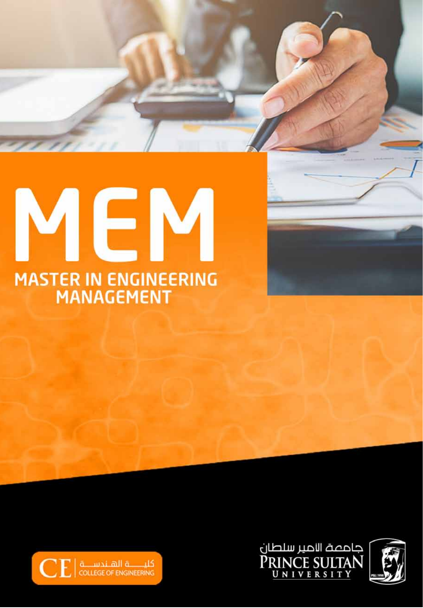# EN MASTER IN ENGINEERING<br>MANAGEMENT



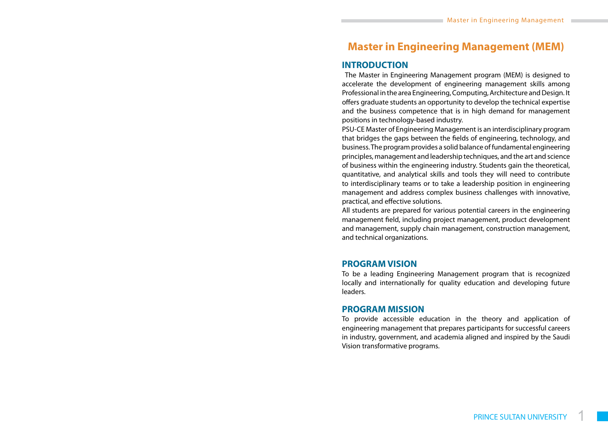# **Master in Engineering Management (MEM)**

## **INTRODUCTION**

The Master in Engineering Management program (MEM) is designed to accelerate the development of engineering management skills among Professional in the area Engineering, Computing, Architecture and Design. It offers graduate students an opportunity to develop the technical expertise and the business competence that is in high demand for management positions in technology-based industry.

PSU-CE Master of Engineering Management is an interdisciplinary program that bridges the gaps between the fields of engineering, technology, and business. The program provides a solid balance of fundamental engineering principles, management and leadership techniques, and the art and science of business within the engineering industry. Students gain the theoretical, quantitative, and analytical skills and tools they will need to contribute to interdisciplinary teams or to take a leadership position in engineering management and address complex business challenges with innovative, practical, and effective solutions.

All students are prepared for various potential careers in the engineering management field, including project management, product development and management, supply chain management, construction management, and technical organizations.

#### **PROGRAM VISION**

To be a leading Engineering Management program that is recognized locally and internationally for quality education and developing future leaders.

## **PROGRAM MISSION**

To provide accessible education in the theory and application of engineering management that prepares participants for successful careers in industry, government, and academia aligned and inspired by the Saudi Vision transformative programs.

1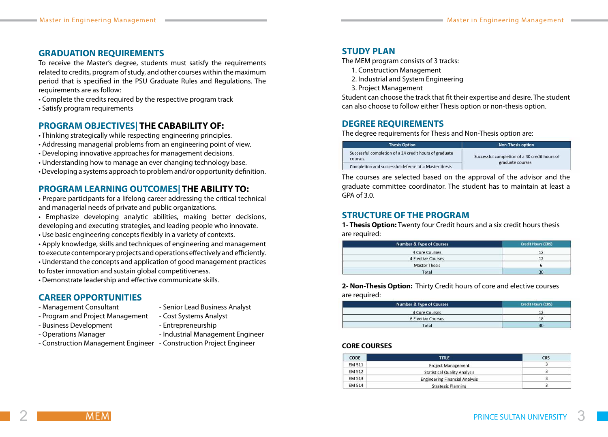## **GRADUATION REQUIREMENTS**

To receive the Master's degree, students must satisfy the requirements related to credits, program of study, and other courses within the maximum period that is specified in the PSU Graduate Rules and Regulations. The requirements are as follow:

- Complete the credits required by the respective program track
- Satisfy program requirements

## **PROGRAM OBJECTIVES| THE CABABILITY OF:**

- Thinking strategically while respecting engineering principles.
- Addressing managerial problems from an engineering point of view.
- Developing innovative approaches for management decisions.
- Understanding how to manage an ever changing technology base.
- Developing a systems approach to problem and/or opportunity definition.

## **PROGRAM LEARNING OUTCOMES| THE ABILITY TO:**

• Prepare participants for a lifelong career addressing the critical technical and managerial needs of private and public organizations.

- Emphasize developing analytic abilities, making better decisions, developing and executing strategies, and leading people who innovate.
- Use basic engineering concepts flexibly in a variety of contexts.
- Apply knowledge, skills and techniques of engineering and management to execute contemporary projects and operations effectively and efficiently.
- Understand the concepts and application of good management practices
- to foster innovation and sustain global competitiveness.
- Demonstrate leadership and effective communicate skills.

## **CAREER OPPORTUNITIES**

- Management Consultant Senior Lead Business Analyst
- Program and Project Management Cost Systems Analyst
- Business Development Entrepreneurship
- Operations Manager  **Industrial Management Engineer**
- Construction Management Engineer Construction Project Engineer

## **STUDY PLAN**

The MEM program consists of 3 tracks:

- 1. Construction Management
- 2. Industrial and System Engineering
- 3. Project Management

Student can choose the track that fit their expertise and desire. The student can also choose to follow either Thesis option or non-thesis option.

## **DEGREE REQUIREMENTS**

The degree requirements for Thesis and Non-Thesis option are:

| <b>Thesis Option</b>                                              | <b>Non-Thesis option</b>                      |
|-------------------------------------------------------------------|-----------------------------------------------|
| Successful completion of a 24 credit hours of graduate<br>courses | Successful completion of a 30 credit hours of |
| Completion and successful defense of a Master thesis              | graduate courses                              |

The courses are selected based on the approval of the advisor and the graduate committee coordinator. The student has to maintain at least a GPA of 3.0.

## **STRUCTURE OF THE PROGRAM**

**1- Thesis Option:** Twenty four Credit hours and a six credit hours thesis are required:

| <b>Number &amp; Type of Courses</b> | <b>Credit Hours (CRS)</b> |
|-------------------------------------|---------------------------|
| 4 Core Courses                      |                           |
| 4 Elective Courses                  |                           |
| <b>Master Thesis</b>                |                           |
| Total                               | 30                        |

**2- Non-Thesis Option:** Thirty Credit hours of core and elective courses are required:

| <b>Number &amp; Type of Courses</b> | <b>Credit Hours (CRS)</b> |  |
|-------------------------------------|---------------------------|--|
| 4 Core Courses                      |                           |  |
| <b>6 Elective Courses</b>           | 18                        |  |
| Total                               | 30                        |  |

#### **CORE COURSES**

| CODE          | <b>TITLE</b>                          | <b>CRS</b> |
|---------------|---------------------------------------|------------|
| <b>EM 511</b> | <b>Project Management</b>             |            |
| EM 512        | <b>Statistical Quality Analysis</b>   |            |
| <b>EM 513</b> | <b>Engineering Financial Analysis</b> |            |
| <b>EM 514</b> | <b>Strategic Planning</b>             |            |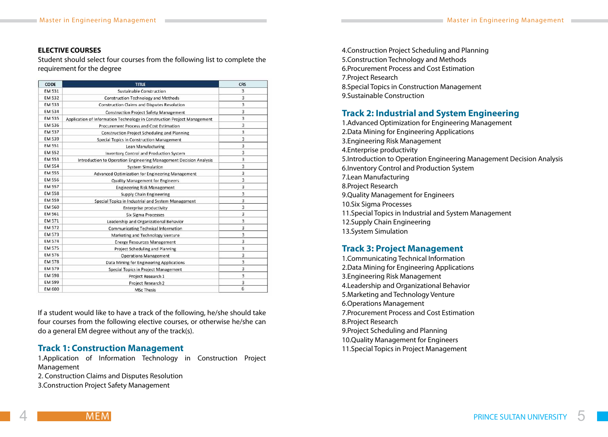#### **ELECTIVE COURSES**

Student should select four courses from the following list to complete the requirement for the degree

| CODE          | <b>TITLE</b>                                                             | <b>CRS</b> |
|---------------|--------------------------------------------------------------------------|------------|
| <b>EM 531</b> | <b>Sustainable Construction</b>                                          | 3          |
| <b>EM 532</b> | <b>Construction Technology and Methods</b>                               | 3          |
| <b>EM 533</b> | Construction Claims and Disputes Resolution                              | 3          |
| <b>EM 534</b> | <b>Construction Project Safety Management</b>                            | 3          |
| <b>EM 535</b> | Application of Information Technology in Construction Project Management | 3          |
| EM 536        | Procurement Process and Cost Estimation                                  | 3          |
| <b>EM 537</b> | <b>Construction Project Scheduling and Planning</b>                      | 3          |
| <b>EM 539</b> | Special Topics in Construction Management                                | 3          |
| <b>EM 551</b> | Lean Manufacturing                                                       | 3          |
| <b>EM 552</b> | <b>Inventory Control and Production System</b>                           | 3          |
| EM 553        | Introduction to Operation Engineering Management Decision Analysis       | 3          |
| <b>EM 554</b> | <b>System Simulation</b>                                                 | 3          |
| <b>EM 555</b> | Advanced Optimization for Engineering Management                         | 3          |
| <b>EM 556</b> | <b>Quality Management for Engineers</b>                                  | 3          |
| <b>EM 557</b> | <b>Engineering Risk Management</b>                                       | 3          |
| <b>EM 558</b> | <b>Supply Chain Engineering</b>                                          | 3          |
| <b>EM 559</b> | Special Topics in Industrial and System Management                       | 3          |
| <b>EM 560</b> | <b>Enterprise productivity</b>                                           | 3          |
| EM 561        | Six Sigma Processes                                                      | 3          |
| EM 571        | Leadership and Organizational Behavior                                   | 3          |
| <b>EM 572</b> | <b>Communicating Technical Information</b>                               | 3          |
| EM 573        | Marketing and Technology Venture                                         | 3          |
| <b>EM 574</b> | <b>Energy Resources Management</b>                                       | 3          |
| <b>EM 575</b> | Project Scheduling and Planning                                          | 3          |
| EM 576        | <b>Operations Management</b>                                             | 3          |
| <b>EM 578</b> | Data Mining for Engineering Applications                                 | 3          |
| <b>EM 579</b> | Special Topics in Project Management                                     | 3          |
| <b>EM 598</b> | Project Research 1                                                       | 3          |
| <b>EM 599</b> | Project Research 2                                                       | 3          |
| EM 600        | <b>MSc Thesis</b>                                                        | 6          |

If a student would like to have a track of the following, he/she should take four courses from the following elective courses, or otherwise he/she can do a general EM degree without any of the track(s).

## **Track 1: Construction Management**

1.Application of Information Technology in Construction Project Management

2. Construction Claims and Disputes Resolution

3.Construction Project Safety Management

4.Construction Project Scheduling and Planning 5.Construction Technology and Methods 6.Procurement Process and Cost Estimation 7.Project Research 8.Special Topics in Construction Management 9.Sustainable Construction

# **Track 2: Industrial and System Engineering**

1.Advanced Optimization for Engineering Management 2.Data Mining for Engineering Applications 3.Engineering Risk Management 4.Enterprise productivity 5.Introduction to Operation Engineering Management Decision Analysis 6.Inventory Control and Production System 7.Lean Manufacturing 8.Project Research 9.Quality Management for Engineers 10.Six Sigma Processes 11.Special Topics in Industrial and System Management 12.Supply Chain Engineering 13.System Simulation

## **Track 3: Project Management**

1.Communicating Technical Information 2.Data Mining for Engineering Applications 3.Engineering Risk Management 4.Leadership and Organizational Behavior 5.Marketing and Technology Venture 6.Operations Management 7.Procurement Process and Cost Estimation 8.Project Research 9.Project Scheduling and Planning 10.Quality Management for Engineers 11.Special Topics in Project Management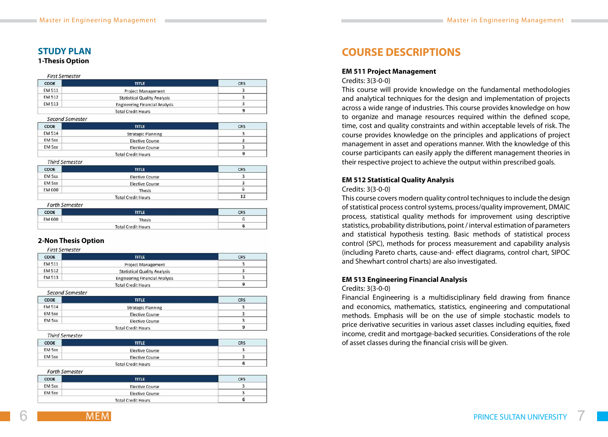## **STUDY PLAN**

#### **1-Thesis Option**

#### **First Semester**

| CODE          | <b>TITLE</b>                          | CRS |
|---------------|---------------------------------------|-----|
| <b>EM 511</b> | Project Management                    |     |
| <b>EM 512</b> | <b>Statistical Quality Analysis</b>   |     |
| <b>EM 513</b> | <b>Engineering Financial Analysis</b> |     |
|               | <b>Total Credit Hours</b>             |     |

#### Second Semester

| CODE          | <b>TITLE</b>              | CRS |
|---------------|---------------------------|-----|
| <b>EM 514</b> | <b>Strategic Planning</b> |     |
| EM 5xx        | <b>Elective Course</b>    |     |
| EM 5xx        | <b>Elective Course</b>    |     |
|               | <b>Total Credit Hours</b> |     |

#### **Third Semester**

| CODE   | <b>TITLE</b>              | <b>CRS</b> |
|--------|---------------------------|------------|
| EM 5xx | <b>Elective Course</b>    |            |
| EM 5xx | <b>Elective Course</b>    |            |
| EM 600 | Thesis                    |            |
|        | <b>Total Credit Hours</b> | 12         |

#### **Forth Semester**

| CODE   | <b>TITLE</b>              | CRS |
|--------|---------------------------|-----|
| EM 600 | <b>Thesis</b>             |     |
|        | <b>Total Credit Hours</b> |     |

#### **2-Non Thesis Option**

#### **First Semester**

| CODE   | <b>TITLE</b>                          | <b>CRS</b> |
|--------|---------------------------------------|------------|
| EM 511 | Project Management                    |            |
| EM 512 | <b>Statistical Quality Analysis</b>   |            |
| EM 513 | <b>Engineering Financial Analysis</b> |            |
|        | <b>Total Credit Hours</b>             |            |

Second Semester

| CODE   | <b>TITLE</b>              | <b>CRS</b> |
|--------|---------------------------|------------|
| EM 514 | <b>Strategic Planning</b> |            |
| EM 5xx | <b>Elective Course</b>    |            |
| EM 5xx | <b>Elective Course</b>    |            |
|        | <b>Total Credit Hours</b> |            |

**Third Semester** 

| <b>CODE</b> | <b>TITLE</b>              | <b>CRS</b> |
|-------------|---------------------------|------------|
| EM 5xx      | <b>Elective Course</b>    |            |
| EM 5xx      | <b>Elective Course</b>    |            |
|             | <b>Total Credit Hours</b> |            |

#### **Forth Semester**

MEM

| CODE                      | <b>TITLE</b>           | <b>CRS</b> |
|---------------------------|------------------------|------------|
| EM 5xx                    | <b>Elective Course</b> |            |
| EM 5xx                    | <b>Elective Course</b> |            |
| <b>Total Credit Hours</b> |                        |            |

# **COURSE DESCRIPTIONS**

#### **EM 511 Project Management**

Credits: 3(3-0-0)

This course will provide knowledge on the fundamental methodologies and analytical techniques for the design and implementation of projects across a wide range of industries. This course provides knowledge on how to organize and manage resources required within the defined scope, time, cost and quality constraints and within acceptable levels of risk. The course provides knowledge on the principles and applications of project management in asset and operations manner. With the knowledge of this course participants can easily apply the different management theories in their respective project to achieve the output within prescribed goals.

#### **EM 512 Statistical Quality Analysis**

#### Credits: 3(3-0-0)

This course covers modern quality control techniques to include the design of statistical process control systems, process/quality improvement, DMAIC process, statistical quality methods for improvement using descriptive statistics, probability distributions, point / interval estimation of parameters and statistical hypothesis testing. Basic methods of statistical process control (SPC), methods for process measurement and capability analysis (including Pareto charts, cause-and- effect diagrams, control chart, SIPOC and Shewhart control charts) are also investigated.

#### **EM 513 Engineering Financial Analysis**

#### Credits: 3(3-0-0)

Financial Engineering is a multidisciplinary field drawing from finance and economics, mathematics, statistics, engineering and computational methods. Emphasis will be on the use of simple stochastic models to price derivative securities in various asset classes including equities, fixed income, credit and mortgage-backed securities. Considerations of the role of asset classes during the financial crisis will be given.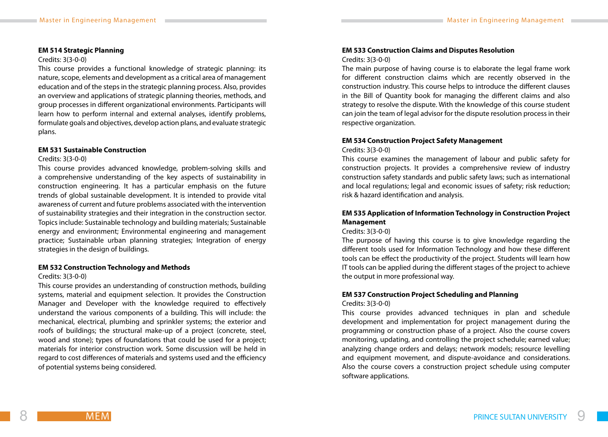#### **EM 514 Strategic Planning**

#### Credits: 3(3-0-0)

This course provides a functional knowledge of strategic planning: its nature, scope, elements and development as a critical area of management education and of the steps in the strategic planning process. Also, provides an overview and applications of strategic planning theories, methods, and group processes in different organizational environments. Participants will learn how to perform internal and external analyses, identify problems, formulate goals and objectives, develop action plans, and evaluate strategic plans.

#### **EM 531 Sustainable Construction**

#### Credits: 3(3-0-0)

This course provides advanced knowledge, problem-solving skills and a comprehensive understanding of the key aspects of sustainability in construction engineering. It has a particular emphasis on the future trends of global sustainable development. It is intended to provide vital awareness of current and future problems associated with the intervention of sustainability strategies and their integration in the construction sector. Topics include: Sustainable technology and building materials; Sustainable energy and environment; Environmental engineering and management practice; Sustainable urban planning strategies; Integration of energy strategies in the design of buildings.

#### **EM 532 Construction Technology and Methods**

#### Credits: 3(3-0-0)

This course provides an understanding of construction methods, building systems, material and equipment selection. It provides the Construction Manager and Developer with the knowledge required to effectively understand the various components of a building. This will include: the mechanical, electrical, plumbing and sprinkler systems; the exterior and roofs of buildings; the structural make-up of a project (concrete, steel, wood and stone); types of foundations that could be used for a project; materials for interior construction work. Some discussion will be held in regard to cost differences of materials and systems used and the efficiency of potential systems being considered.

## **EM 533 Construction Claims and Disputes Resolution**

#### Credits: 3(3-0-0)

The main purpose of having course is to elaborate the legal frame work for different construction claims which are recently observed in the construction industry. This course helps to introduce the different clauses in the Bill of Quantity book for managing the different claims and also strategy to resolve the dispute. With the knowledge of this course student can join the team of legal advisor for the dispute resolution process in their respective organization.

#### **EM 534 Construction Project Safety Management**

#### Credits: 3(3-0-0)

This course examines the management of labour and public safety for construction projects. It provides a comprehensive review of industry construction safety standards and public safety laws; such as international and local regulations; legal and economic issues of safety; risk reduction; risk & hazard identification and analysis.

## **EM 535 Application of Information Technology in Construction Project Management**

#### Credits: 3(3-0-0)

The purpose of having this course is to give knowledge regarding the different tools used for Information Technology and how these different tools can be effect the productivity of the project. Students will learn how IT tools can be applied during the different stages of the project to achieve the output in more professional way.

# **EM 537 Construction Project Scheduling and Planning**

#### Credits: 3(3-0-0)

This course provides advanced techniques in plan and schedule development and implementation for project management during the programming or construction phase of a project. Also the course covers monitoring, updating, and controlling the project schedule; earned value; analyzing change orders and delays; network models; resource levelling and equipment movement, and dispute-avoidance and considerations. Also the course covers a construction project schedule using computer software applications.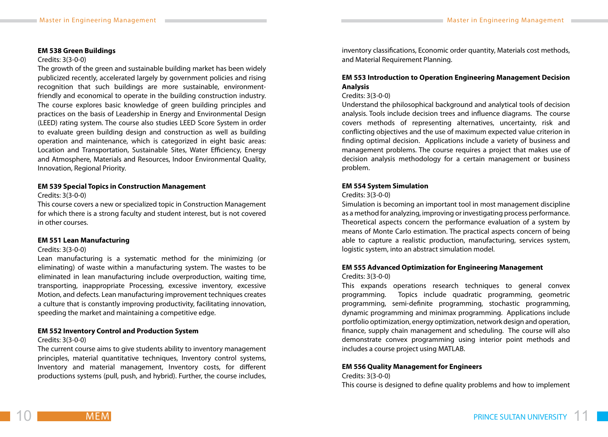#### **EM 538 Green Buildings**

#### Credits: 3(3-0-0)

The growth of the green and sustainable building market has been widely publicized recently, accelerated largely by government policies and rising recognition that such buildings are more sustainable, environmentfriendly and economical to operate in the building construction industry. The course explores basic knowledge of green building principles and practices on the basis of Leadership in Energy and Environmental Design (LEED) rating system. The course also studies LEED Score System in order to evaluate green building design and construction as well as building operation and maintenance, which is categorized in eight basic areas: Location and Transportation, Sustainable Sites, Water Efficiency, Energy and Atmosphere, Materials and Resources, Indoor Environmental Quality, Innovation, Regional Priority.

#### **EM 539 Special Topics in Construction Management**

Credits: 3(3-0-0)

This course covers a new or specialized topic in Construction Management for which there is a strong faculty and student interest, but is not covered in other courses.

#### **EM 551 Lean Manufacturing**

#### Credits: 3(3-0-0)

Lean manufacturing is a systematic method for the minimizing (or eliminating) of waste within a manufacturing system. The wastes to be eliminated in lean manufacturing include overproduction, waiting time, transporting, inappropriate Processing, excessive inventory, excessive Motion, and defects. Lean manufacturing improvement techniques creates a culture that is constantly improving productivity, facilitating innovation, speeding the market and maintaining a competitive edge.

## **EM 552 Inventory Control and Production System**

#### Credits: 3(3-0-0)

The current course aims to give students ability to inventory management principles, material quantitative techniques, Inventory control systems, Inventory and material management, Inventory costs, for different productions systems (pull, push, and hybrid). Further, the course includes, inventory classifications, Economic order quantity, Materials cost methods, and Material Requirement Planning.

#### **EM 553 Introduction to Operation Engineering Management Decision Analysis**

#### Credits: 3(3-0-0)

Understand the philosophical background and analytical tools of decision analysis. Tools include decision trees and influence diagrams. The course covers methods of representing alternatives, uncertainty, risk and conflicting objectives and the use of maximum expected value criterion in finding optimal decision. Applications include a variety of business and management problems. The course requires a project that makes use of decision analysis methodology for a certain management or business problem.

#### **EM 554 System Simulation**

#### Credits: 3(3-0-0)

Simulation is becoming an important tool in most management discipline as a method for analyzing, improving or investigating process performance. Theoretical aspects concern the performance evaluation of a system by means of Monte Carlo estimation. The practical aspects concern of being able to capture a realistic production, manufacturing, services system, logistic system, into an abstract simulation model.

# **EM 555 Advanced Optimization for Engineering Management**

#### Credits: 3(3-0-0)

This expands operations research techniques to general convex programming. Topics include quadratic programming, geometric programming, semi-definite programming, stochastic programming, dynamic programming and minimax programming. Applications include portfolio optimization, energy optimization, network design and operation, finance, supply chain management and scheduling. The course will also demonstrate convex programming using interior point methods and includes a course project using MATLAB.

#### **EM 556 Quality Management for Engineers**

#### Credits: 3(3-0-0) This course is designed to define quality problems and how to implement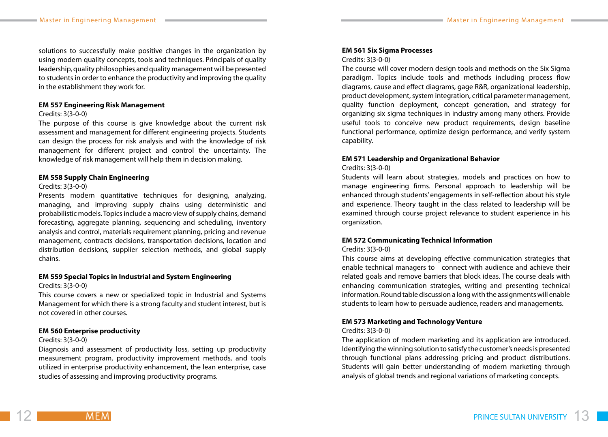solutions to successfully make positive changes in the organization by using modern quality concepts, tools and techniques. Principals of quality leadership, quality philosophies and quality management will be presented to students in order to enhance the productivity and improving the quality in the establishment they work for.

#### **EM 557 Engineering Risk Management**

#### Credits: 3(3-0-0)

The purpose of this course is give knowledge about the current risk assessment and management for different engineering projects. Students can design the process for risk analysis and with the knowledge of risk management for different project and control the uncertainty. The knowledge of risk management will help them in decision making.

#### **EM 558 Supply Chain Engineering**

#### Credits: 3(3-0-0)

Presents modern quantitative techniques for designing, analyzing, managing, and improving supply chains using deterministic and probabilistic models. Topics include a macro view of supply chains, demand forecasting, aggregate planning, sequencing and scheduling, inventory analysis and control, materials requirement planning, pricing and revenue management, contracts decisions, transportation decisions, location and distribution decisions, supplier selection methods, and global supply chains.

#### **EM 559 Special Topics in Industrial and System Engineering**

#### Credits: 3(3-0-0)

This course covers a new or specialized topic in Industrial and Systems Management for which there is a strong faculty and student interest, but is not covered in other courses.

#### **EM 560 Enterprise productivity**

MEM

#### Credits: 3(3-0-0)

Diagnosis and assessment of productivity loss, setting up productivity measurement program, productivity improvement methods, and tools utilized in enterprise productivity enhancement, the lean enterprise, case studies of assessing and improving productivity programs.

#### **EM 561 Six Sigma Processes**

#### Credits: 3(3-0-0)

The course will cover modern design tools and methods on the Six Sigma paradigm. Topics include tools and methods including process flow diagrams, cause and effect diagrams, gage R&R, organizational leadership, product development, system integration, critical parameter management, quality function deployment, concept generation, and strategy for organizing six sigma techniques in industry among many others. Provide useful tools to conceive new product requirements, design baseline functional performance, optimize design performance, and verify system capability.

#### **EM 571 Leadership and Organizational Behavior**

#### Credits: 3(3-0-0)

Students will learn about strategies, models and practices on how to manage engineering firms. Personal approach to leadership will be enhanced through students' engagements in self-reflection about his style and experience. Theory taught in the class related to leadership will be examined through course project relevance to student experience in his organization.

#### **EM 572 Communicating Technical Information**

#### Credits: 3(3-0-0)

This course aims at developing effective communication strategies that enable technical managers to connect with audience and achieve their related goals and remove barriers that block ideas. The course deals with enhancing communication strategies, writing and presenting technical information. Round table discussion a long with the assignments will enable students to learn how to persuade audience, readers and managements.

#### **EM 573 Marketing and Technology Venture**

#### Credits: 3(3-0-0)

The application of modern marketing and its application are introduced. Identifying the winning solution to satisfy the customer's needs is presented through functional plans addressing pricing and product distributions. Students will gain better understanding of modern marketing through analysis of global trends and regional variations of marketing concepts.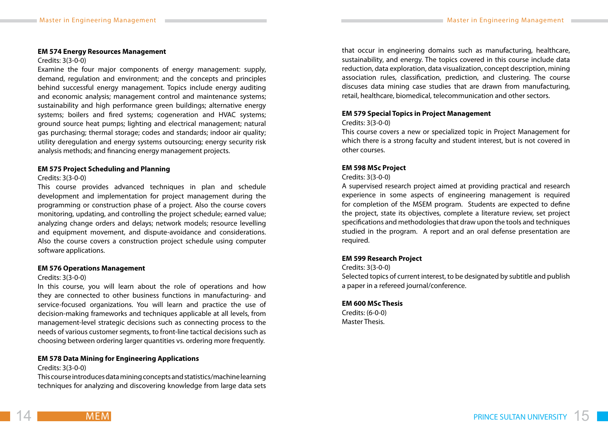#### **EM 574 Energy Resources Management**

#### Credits: 3(3-0-0)

Examine the four major components of energy management: supply, demand, regulation and environment; and the concepts and principles behind successful energy management. Topics include energy auditing and economic analysis; management control and maintenance systems; sustainability and high performance green buildings; alternative energy systems; boilers and fired systems; cogeneration and HVAC systems; ground source heat pumps; lighting and electrical management; natural gas purchasing; thermal storage; codes and standards; indoor air quality; utility deregulation and energy systems outsourcing; energy security risk analysis methods; and financing energy management projects.

#### **EM 575 Project Scheduling and Planning**

#### Credits: 3(3-0-0)

This course provides advanced techniques in plan and schedule development and implementation for project management during the programming or construction phase of a project. Also the course covers monitoring, updating, and controlling the project schedule; earned value; analyzing change orders and delays; network models; resource levelling and equipment movement, and dispute-avoidance and considerations. Also the course covers a construction project schedule using computer software applications.

#### **EM 576 Operations Management**

#### Credits: 3(3-0-0)

In this course, you will learn about the role of operations and how they are connected to other business functions in manufacturing- and service-focused organizations. You will learn and practice the use of decision-making frameworks and techniques applicable at all levels, from management-level strategic decisions such as connecting process to the needs of various customer segments, to front-line tactical decisions such as choosing between ordering larger quantities vs. ordering more frequently.

#### **EM 578 Data Mining for Engineering Applications**

Credits: 3(3-0-0)

This course introduces data mining concepts and statistics/machine learning techniques for analyzing and discovering knowledge from large data sets

that occur in engineering domains such as manufacturing, healthcare, sustainability, and energy. The topics covered in this course include data reduction, data exploration, data visualization, concept description, mining association rules, classification, prediction, and clustering. The course discuses data mining case studies that are drawn from manufacturing, retail, healthcare, biomedical, telecommunication and other sectors.

#### **EM 579 Special Topics in Project Management**

#### Credits: 3(3-0-0)

This course covers a new or specialized topic in Project Management for which there is a strong faculty and student interest, but is not covered in other courses.

#### **EM 598 MSc Project**

#### Credits: 3(3-0-0)

A supervised research project aimed at providing practical and research experience in some aspects of engineering management is required for completion of the MSEM program. Students are expected to define the project, state its objectives, complete a literature review, set project specifications and methodologies that draw upon the tools and techniques studied in the program. A report and an oral defense presentation are required.

## **EM 599 Research Project**

Credits: 3(3-0-0)

Selected topics of current interest, to be designated by subtitle and publish a paper in a refereed journal/conference.

#### **EM 600 MSc Thesis**

Credits: (6-0-0) Master Thesis.